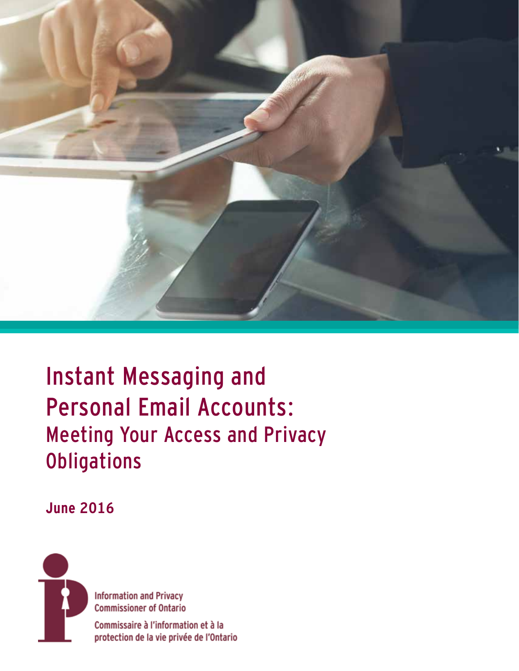

# Instant Messaging and Personal Email Accounts: Meeting Your Access and Privacy **Obligations**

**June 2016**

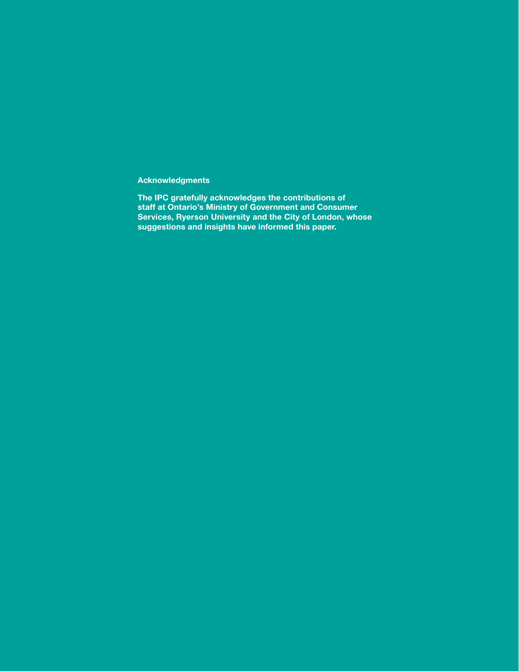**Acknowledgments**

**The IPC gratefully acknowledges the contributions of staff at Ontario's Ministry of Government and Consumer Services, Ryerson University and the City of London, whose suggestions and insights have informed this paper.**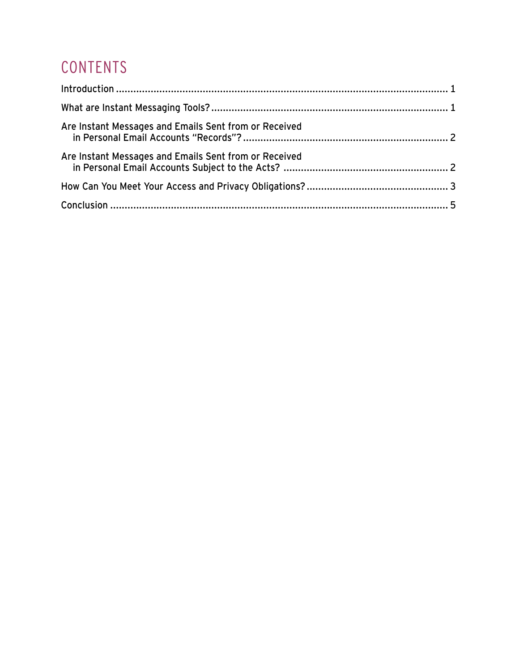# **CONTENTS**

| Are Instant Messages and Emails Sent from or Received |  |
|-------------------------------------------------------|--|
| Are Instant Messages and Emails Sent from or Received |  |
|                                                       |  |
|                                                       |  |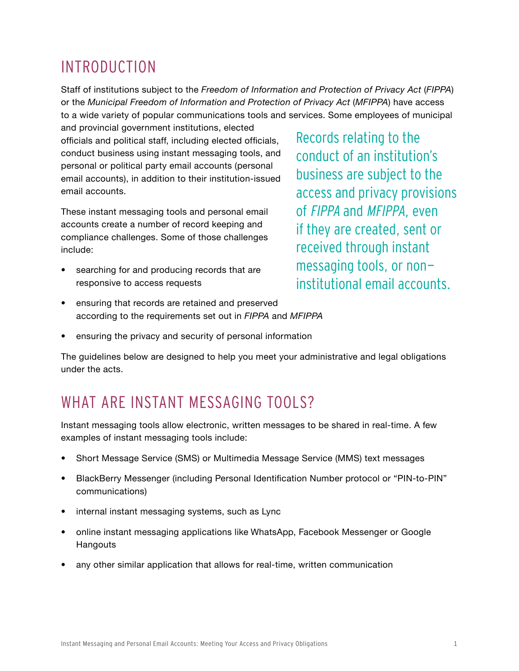### <span id="page-3-0"></span>INTRODUCTION

Staff of institutions subject to the *Freedom of Information and Protection of Privacy Act* (*FIPPA*) or the *Municipal Freedom of Information and Protection of Privacy Act* (*MFIPPA*) have access to a wide variety of popular communications tools and services. Some employees of municipal

and provincial government institutions, elected officials and political staff, including elected officials, conduct business using instant messaging tools, and personal or political party email accounts (personal email accounts), in addition to their institution-issued email accounts.

These instant messaging tools and personal email accounts create a number of record keeping and compliance challenges. Some of those challenges include:

searching for and producing records that are responsive to access requests

Records relating to the conduct of an institution's business are subject to the access and privacy provisions of FIPPA and MFIPPA, even if they are created, sent or received through instant messaging tools, or noninstitutional email accounts.

- ensuring that records are retained and preserved according to the requirements set out in *FIPPA* and *MFIPPA*
- ensuring the privacy and security of personal information

The guidelines below are designed to help you meet your administrative and legal obligations under the acts.

### WHAT ARE INSTANT MESSAGING TOOLS?

Instant messaging tools allow electronic, written messages to be shared in real-time. A few examples of instant messaging tools include:

- Short Message Service (SMS) or Multimedia Message Service (MMS) text messages
- BlackBerry Messenger (including Personal Identification Number protocol or "PIN-to-PIN" communications)
- internal instant messaging systems, such as Lync
- online instant messaging applications like WhatsApp, Facebook Messenger or Google **Hangouts**
- any other similar application that allows for real-time, written communication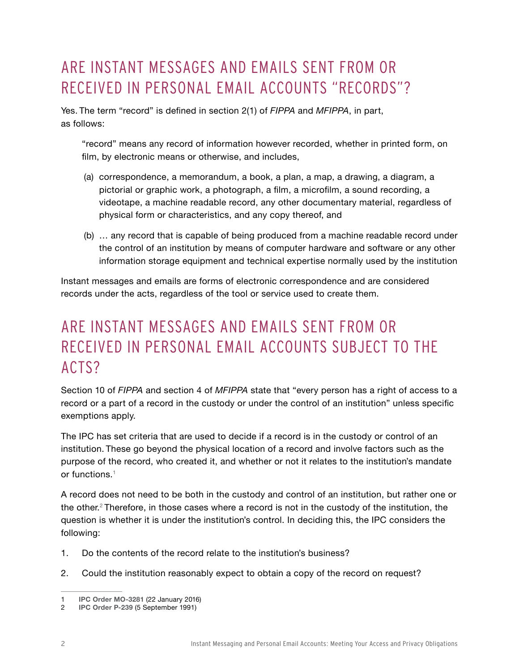## <span id="page-4-0"></span>ARE INSTANT MESSAGES AND EMAILS SENT FROM OR RECEIVED IN PERSONAL EMAIL ACCOUNTS "RECORDS"?

Yes. The term "record" is defined in section 2(1) of *FIPPA* and *MFIPPA*, in part, as follows:

"record" means any record of information however recorded, whether in printed form, on film, by electronic means or otherwise, and includes,

- (a) correspondence, a memorandum, a book, a plan, a map, a drawing, a diagram, a pictorial or graphic work, a photograph, a film, a microfilm, a sound recording, a videotape, a machine readable record, any other documentary material, regardless of physical form or characteristics, and any copy thereof, and
- (b) … any record that is capable of being produced from a machine readable record under the control of an institution by means of computer hardware and software or any other information storage equipment and technical expertise normally used by the institution

Instant messages and emails are forms of electronic correspondence and are considered records under the acts, regardless of the tool or service used to create them.

### ARE INSTANT MESSAGES AND EMAILS SENT FROM OR RECEIVED IN PERSONAL EMAIL ACCOUNTS SUBJECT TO THE ACTS?

Section 10 of *FIPPA* and section 4 of *MFIPPA* state that "every person has a right of access to a record or a part of a record in the custody or under the control of an institution" unless specific exemptions apply.

The IPC has set criteria that are used to decide if a record is in the custody or control of an institution. These go beyond the physical location of a record and involve factors such as the purpose of the record, who created it, and whether or not it relates to the institution's mandate or functions.<sup>1</sup>

A record does not need to be both in the custody and control of an institution, but rather one or the other.<sup>2</sup> Therefore, in those cases where a record is not in the custody of the institution, the question is whether it is under the institution's control. In deciding this, the IPC considers the following:

- 1. Do the contents of the record relate to the institution's business?
- 2. Could the institution reasonably expect to obtain a copy of the record on request?

<sup>1</sup> **[IPC Order MO-3281](https://www.ipc.on.ca/images/Findings/MO-3281.pdf)** (22 January 2016)

<sup>2</sup> **[IPC Order P-239](https://www.ipc.on.ca/images/Findings/Attached_PDF/P-239.pdf)** (5 September 1991)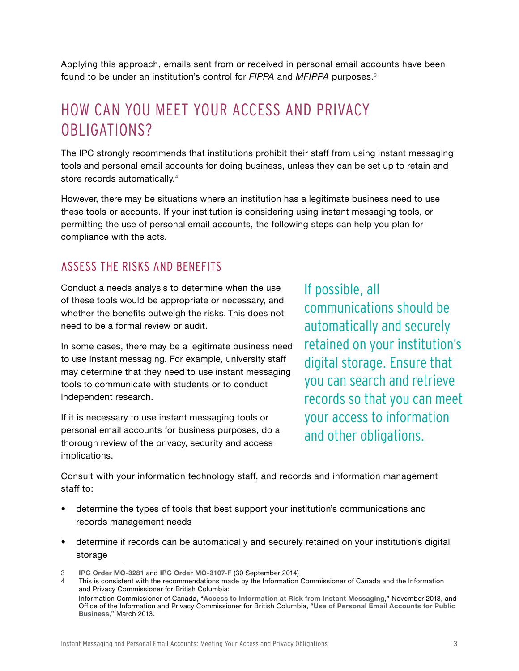<span id="page-5-0"></span>Applying this approach, emails sent from or received in personal email accounts have been found to be under an institution's control for *FIPPA* and *MFIPPA* purposes.3

### HOW CAN YOU MEET YOUR ACCESS AND PRIVACY OBI IGATIONS?

The IPC strongly recommends that institutions prohibit their staff from using instant messaging tools and personal email accounts for doing business, unless they can be set up to retain and store records automatically. $^4\,$ 

However, there may be situations where an institution has a legitimate business need to use these tools or accounts. If your institution is considering using instant messaging tools, or permitting the use of personal email accounts, the following steps can help you plan for compliance with the acts.

#### ASSESS THE RISKS AND BENEFITS

Conduct a needs analysis to determine when the use of these tools would be appropriate or necessary, and whether the benefits outweigh the risks. This does not need to be a formal review or audit.

In some cases, there may be a legitimate business need to use instant messaging. For example, university staff may determine that they need to use instant messaging tools to communicate with students or to conduct independent research.

If it is necessary to use instant messaging tools or personal email accounts for business purposes, do a thorough review of the privacy, security and access implications.

If possible, all communications should be automatically and securely retained on your institution's digital storage. Ensure that you can search and retrieve records so that you can meet your access to information and other obligations.

Consult with your information technology staff, and records and information management staff to:

- determine the types of tools that best support your institution's communications and records management needs
- determine if records can be automatically and securely retained on your institution's digital storage

<sup>3</sup> **[IPC Order MO-3281](https://www.ipc.on.ca/images/Findings/MO-3281.pdf)** and **[IPC Order MO-3107-F](https://www.ipc.on.ca/images/Findings/MO-3107-F%20.pdf)** (30 September 2014)

<sup>4</sup> This is consistent with the recommendations made by the Information Commissioner of Canada and the Information and Privacy Commissioner for British Columbia:

Information Commissioner of Canada, "**[Access to Information at Risk from Instant Messaging](http://www.oic-ci.gc.ca/eng/pin-to-pin-nip-a-nip.aspx)**," November 2013, and Office of the Information and Privacy Commissioner for British Columbia, "**[Use of Personal Email Accounts for Public](https://www.oipc.bc.ca/guidance-documents/1515)  [Business](https://www.oipc.bc.ca/guidance-documents/1515)**," March 2013.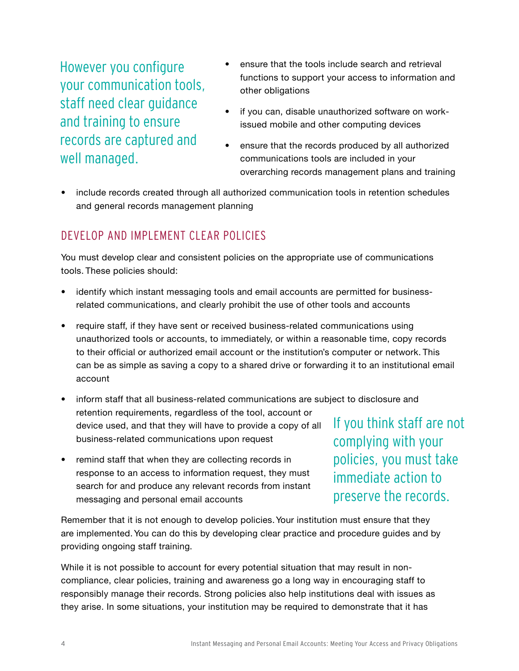However you configure your communication tools, staff need clear guidance and training to ensure records are captured and well managed.

- ensure that the tools include search and retrieval functions to support your access to information and other obligations
- if you can, disable unauthorized software on workissued mobile and other computing devices
- ensure that the records produced by all authorized communications tools are included in your overarching records management plans and training
- include records created through all authorized communication tools in retention schedules and general records management planning

#### DEVELOP AND IMPLEMENT CLEAR POLICIES

You must develop clear and consistent policies on the appropriate use of communications tools. These policies should:

- identify which instant messaging tools and email accounts are permitted for businessrelated communications, and clearly prohibit the use of other tools and accounts
- require staff, if they have sent or received business-related communications using unauthorized tools or accounts, to immediately, or within a reasonable time, copy records to their official or authorized email account or the institution's computer or network. This can be as simple as saving a copy to a shared drive or forwarding it to an institutional email account
- inform staff that all business-related communications are subject to disclosure and retention requirements, regardless of the tool, account or device used, and that they will have to provide a copy of all business-related communications upon request
- remind staff that when they are collecting records in response to an access to information request, they must search for and produce any relevant records from instant messaging and personal email accounts

If you think staff are not complying with your policies, you must take immediate action to preserve the records.

Remember that it is not enough to develop policies. Your institution must ensure that they are implemented. You can do this by developing clear practice and procedure guides and by providing ongoing staff training.

While it is not possible to account for every potential situation that may result in noncompliance, clear policies, training and awareness go a long way in encouraging staff to responsibly manage their records. Strong policies also help institutions deal with issues as they arise. In some situations, your institution may be required to demonstrate that it has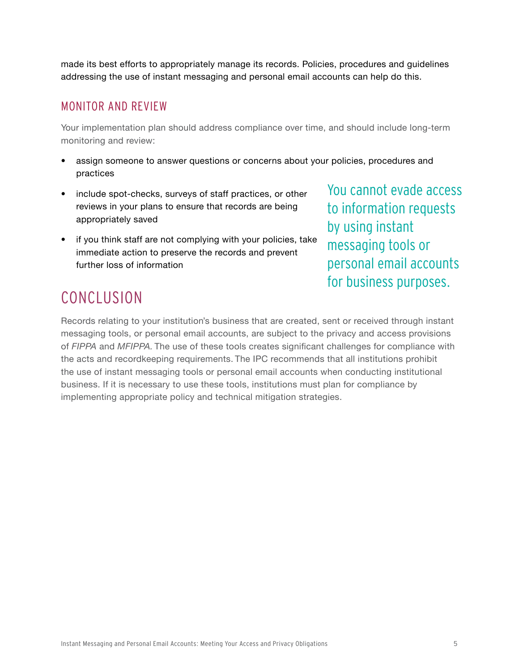<span id="page-7-0"></span>made its best efforts to appropriately manage its records. Policies, procedures and guidelines addressing the use of instant messaging and personal email accounts can help do this.

#### MONITOR AND REVIEW

Your implementation plan should address compliance over time, and should include long-term monitoring and review:

- assign someone to answer questions or concerns about your policies, procedures and practices
- include spot-checks, surveys of staff practices, or other reviews in your plans to ensure that records are being appropriately saved
- if you think staff are not complying with your policies, take immediate action to preserve the records and prevent further loss of information

You cannot evade access to information requests by using instant messaging tools or personal email accounts for business purposes.

### CONCLUSION

Records relating to your institution's business that are created, sent or received through instant messaging tools, or personal email accounts, are subject to the privacy and access provisions of *FIPPA* and *MFIPPA.* The use of these tools creates significant challenges for compliance with the acts and recordkeeping requirements. The IPC recommends that all institutions prohibit the use of instant messaging tools or personal email accounts when conducting institutional business. If it is necessary to use these tools, institutions must plan for compliance by implementing appropriate policy and technical mitigation strategies.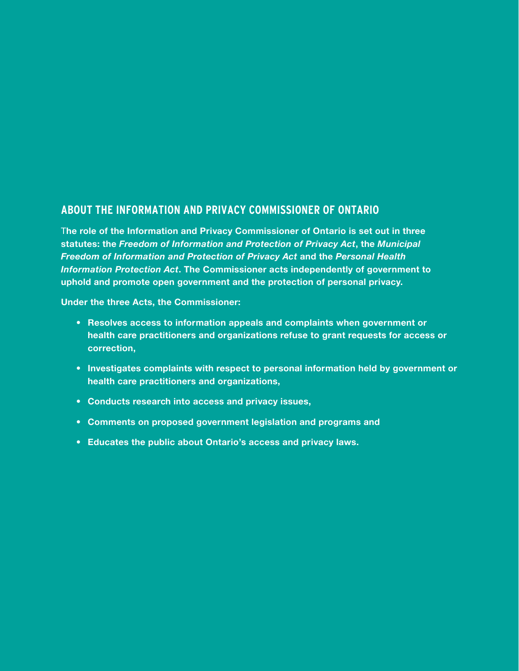#### **ABOUT THE INFORMATION AND PRIVACY COMMISSIONER OF ONTARIO**

T**he role of the Information and Privacy Commissioner of Ontario is set out in three statutes: the** *Freedom of Information and Protection of Privacy Act***, the** *Municipal Freedom of Information and Protection of Privacy Act* **and the** *Personal Health Information Protection Act***. The Commissioner acts independently of government to uphold and promote open government and the protection of personal privacy.**

**Under the three Acts, the Commissioner:**

- **• Resolves access to information appeals and complaints when government or health care practitioners and organizations refuse to grant requests for access or correction,**
- **• Investigates complaints with respect to personal information held by government or health care practitioners and organizations,**
- **• Conducts research into access and privacy issues,**
- **• Comments on proposed government legislation and programs and**
- **• Educates the public about Ontario's access and privacy laws.**